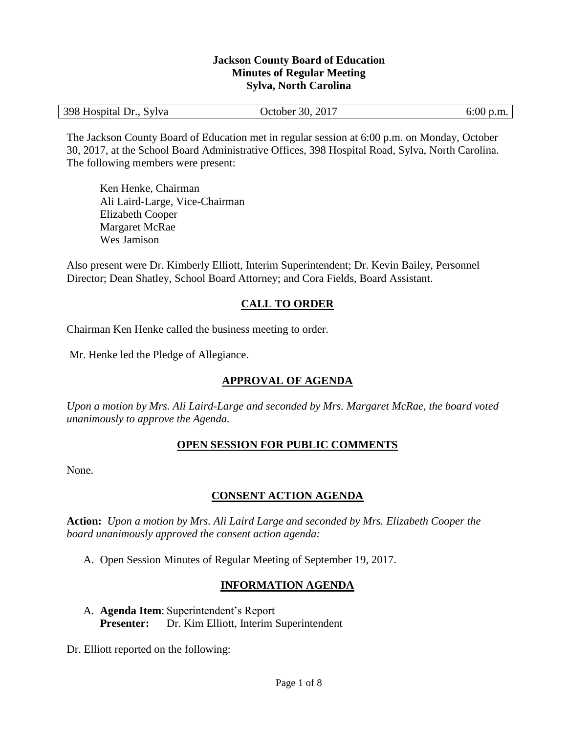#### **Jackson County Board of Education Minutes of Regular Meeting Sylva, North Carolina**

| 398 Hospital Dr., Sylva | October 30, 2017 | $6:00$ p.m. |
|-------------------------|------------------|-------------|
|-------------------------|------------------|-------------|

The Jackson County Board of Education met in regular session at 6:00 p.m. on Monday, October 30, 2017, at the School Board Administrative Offices, 398 Hospital Road, Sylva, North Carolina. The following members were present:

Ken Henke, Chairman Ali Laird-Large, Vice-Chairman Elizabeth Cooper Margaret McRae Wes Jamison

Also present were Dr. Kimberly Elliott, Interim Superintendent; Dr. Kevin Bailey, Personnel Director; Dean Shatley, School Board Attorney; and Cora Fields, Board Assistant.

### **CALL TO ORDER**

Chairman Ken Henke called the business meeting to order.

Mr. Henke led the Pledge of Allegiance.

# **APPROVAL OF AGENDA**

*Upon a motion by Mrs. Ali Laird-Large and seconded by Mrs. Margaret McRae, the board voted unanimously to approve the Agenda.*

#### **OPEN SESSION FOR PUBLIC COMMENTS**

None.

#### **CONSENT ACTION AGENDA**

**Action:** *Upon a motion by Mrs. Ali Laird Large and seconded by Mrs. Elizabeth Cooper the board unanimously approved the consent action agenda:*

A. Open Session Minutes of Regular Meeting of September 19, 2017.

#### **INFORMATION AGENDA**

A. **Agenda Item**: Superintendent's Report **Presenter:** Dr. Kim Elliott, Interim Superintendent

Dr. Elliott reported on the following: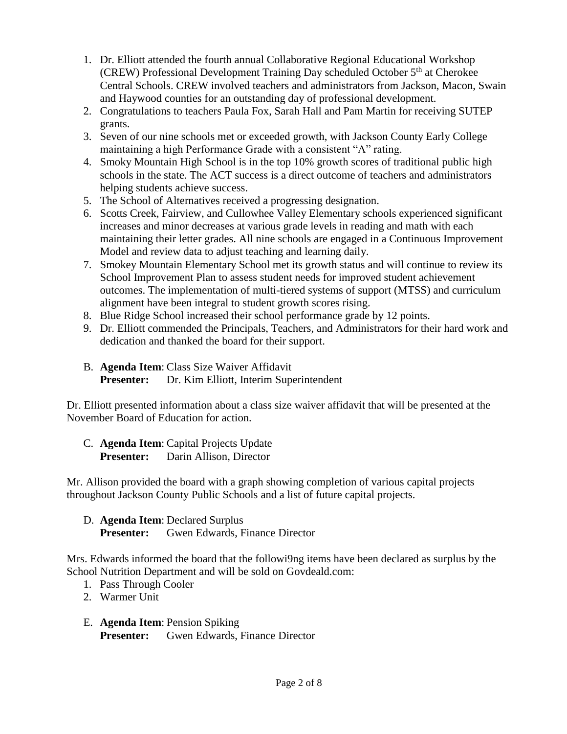- 1. Dr. Elliott attended the fourth annual Collaborative Regional Educational Workshop (CREW) Professional Development Training Day scheduled October  $5<sup>th</sup>$  at Cherokee Central Schools. CREW involved teachers and administrators from Jackson, Macon, Swain and Haywood counties for an outstanding day of professional development.
- 2. Congratulations to teachers Paula Fox, Sarah Hall and Pam Martin for receiving SUTEP grants.
- 3. Seven of our nine schools met or exceeded growth, with Jackson County Early College maintaining a high Performance Grade with a consistent "A" rating.
- 4. Smoky Mountain High School is in the top 10% growth scores of traditional public high schools in the state. The ACT success is a direct outcome of teachers and administrators helping students achieve success.
- 5. The School of Alternatives received a progressing designation.
- 6. Scotts Creek, Fairview, and Cullowhee Valley Elementary schools experienced significant increases and minor decreases at various grade levels in reading and math with each maintaining their letter grades. All nine schools are engaged in a Continuous Improvement Model and review data to adjust teaching and learning daily.
- 7. Smokey Mountain Elementary School met its growth status and will continue to review its School Improvement Plan to assess student needs for improved student achievement outcomes. The implementation of multi-tiered systems of support (MTSS) and curriculum alignment have been integral to student growth scores rising.
- 8. Blue Ridge School increased their school performance grade by 12 points.
- 9. Dr. Elliott commended the Principals, Teachers, and Administrators for their hard work and dedication and thanked the board for their support.
- B. **Agenda Item**: Class Size Waiver Affidavit **Presenter:** Dr. Kim Elliott, Interim Superintendent

Dr. Elliott presented information about a class size waiver affidavit that will be presented at the November Board of Education for action.

C. **Agenda Item**: Capital Projects Update Presenter: Darin Allison, Director

Mr. Allison provided the board with a graph showing completion of various capital projects throughout Jackson County Public Schools and a list of future capital projects.

D. **Agenda Item**: Declared Surplus **Presenter:** Gwen Edwards, Finance Director

Mrs. Edwards informed the board that the followi9ng items have been declared as surplus by the School Nutrition Department and will be sold on Govdeald.com:

- 1. Pass Through Cooler
- 2. Warmer Unit
- E. **Agenda Item**: Pension Spiking **Presenter:** Gwen Edwards, Finance Director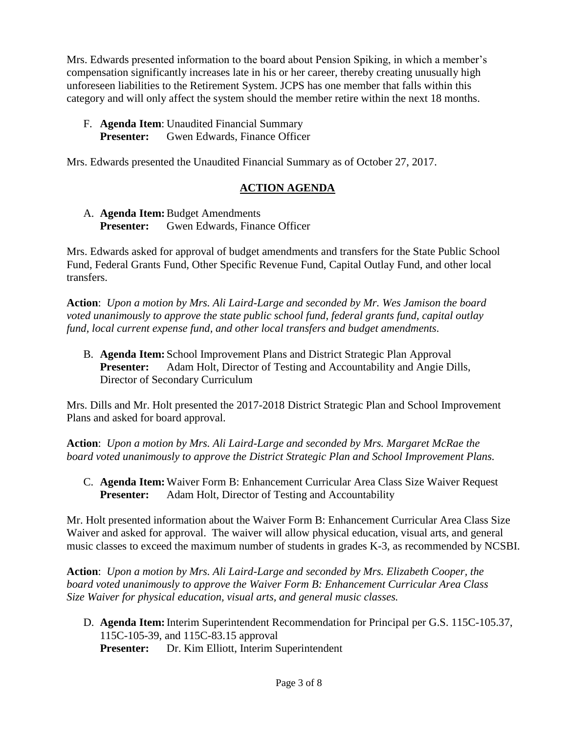Mrs. Edwards presented information to the board about Pension Spiking, in which a member's compensation significantly increases late in his or her career, thereby creating unusually high unforeseen liabilities to the Retirement System. JCPS has one member that falls within this category and will only affect the system should the member retire within the next 18 months.

F. **Agenda Item**: Unaudited Financial Summary **Presenter:** Gwen Edwards, Finance Officer

Mrs. Edwards presented the Unaudited Financial Summary as of October 27, 2017.

# **ACTION AGENDA**

A. **Agenda Item:**Budget Amendments **Presenter:** Gwen Edwards, Finance Officer

Mrs. Edwards asked for approval of budget amendments and transfers for the State Public School Fund, Federal Grants Fund, Other Specific Revenue Fund, Capital Outlay Fund, and other local transfers.

**Action**: *Upon a motion by Mrs. Ali Laird-Large and seconded by Mr. Wes Jamison the board voted unanimously to approve the state public school fund, federal grants fund, capital outlay fund, local current expense fund, and other local transfers and budget amendments.*

B. **Agenda Item:** School Improvement Plans and District Strategic Plan Approval Presenter: Adam Holt, Director of Testing and Accountability and Angie Dills, Director of Secondary Curriculum

Mrs. Dills and Mr. Holt presented the 2017-2018 District Strategic Plan and School Improvement Plans and asked for board approval.

**Action**: *Upon a motion by Mrs. Ali Laird-Large and seconded by Mrs. Margaret McRae the board voted unanimously to approve the District Strategic Plan and School Improvement Plans.*

C. **Agenda Item:**Waiver Form B: Enhancement Curricular Area Class Size Waiver Request **Presenter:** Adam Holt, Director of Testing and Accountability

Mr. Holt presented information about the Waiver Form B: Enhancement Curricular Area Class Size Waiver and asked for approval. The waiver will allow physical education, visual arts, and general music classes to exceed the maximum number of students in grades K-3, as recommended by NCSBI.

**Action**: *Upon a motion by Mrs. Ali Laird-Large and seconded by Mrs. Elizabeth Cooper, the board voted unanimously to approve the Waiver Form B: Enhancement Curricular Area Class Size Waiver for physical education, visual arts, and general music classes.*

D. **Agenda Item:**Interim Superintendent Recommendation for Principal per G.S. 115C-105.37, 115C-105-39, and 115C-83.15 approval **Presenter:** Dr. Kim Elliott, Interim Superintendent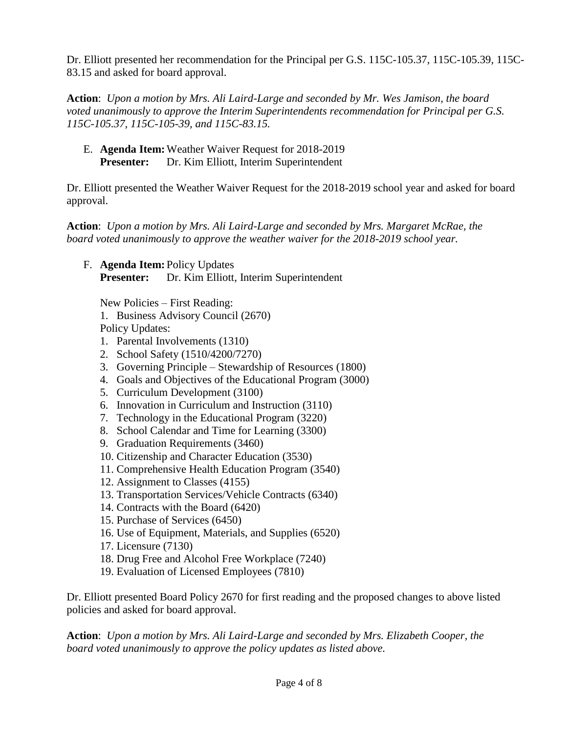Dr. Elliott presented her recommendation for the Principal per G.S. 115C-105.37, 115C-105.39, 115C-83.15 and asked for board approval.

**Action**: *Upon a motion by Mrs. Ali Laird-Large and seconded by Mr. Wes Jamison, the board voted unanimously to approve the Interim Superintendents recommendation for Principal per G.S. 115C-105.37, 115C-105-39, and 115C-83.15.*

E. **Agenda Item:**Weather Waiver Request for 2018-2019 **Presenter:** Dr. Kim Elliott, Interim Superintendent

Dr. Elliott presented the Weather Waiver Request for the 2018-2019 school year and asked for board approval.

**Action**: *Upon a motion by Mrs. Ali Laird-Large and seconded by Mrs. Margaret McRae, the board voted unanimously to approve the weather waiver for the 2018-2019 school year.*

F. **Agenda Item:** Policy Updates **Presenter:** Dr. Kim Elliott, Interim Superintendent

New Policies – First Reading:

1. Business Advisory Council (2670)

Policy Updates:

- 1. Parental Involvements (1310)
- 2. School Safety (1510/4200/7270)
- 3. Governing Principle Stewardship of Resources (1800)
- 4. Goals and Objectives of the Educational Program (3000)
- 5. Curriculum Development (3100)
- 6. Innovation in Curriculum and Instruction (3110)
- 7. Technology in the Educational Program (3220)
- 8. School Calendar and Time for Learning (3300)
- 9. Graduation Requirements (3460)
- 10. Citizenship and Character Education (3530)
- 11. Comprehensive Health Education Program (3540)
- 12. Assignment to Classes (4155)
- 13. Transportation Services/Vehicle Contracts (6340)
- 14. Contracts with the Board (6420)
- 15. Purchase of Services (6450)
- 16. Use of Equipment, Materials, and Supplies (6520)
- 17. Licensure (7130)
- 18. Drug Free and Alcohol Free Workplace (7240)
- 19. Evaluation of Licensed Employees (7810)

Dr. Elliott presented Board Policy 2670 for first reading and the proposed changes to above listed policies and asked for board approval.

**Action**: *Upon a motion by Mrs. Ali Laird-Large and seconded by Mrs. Elizabeth Cooper, the board voted unanimously to approve the policy updates as listed above.*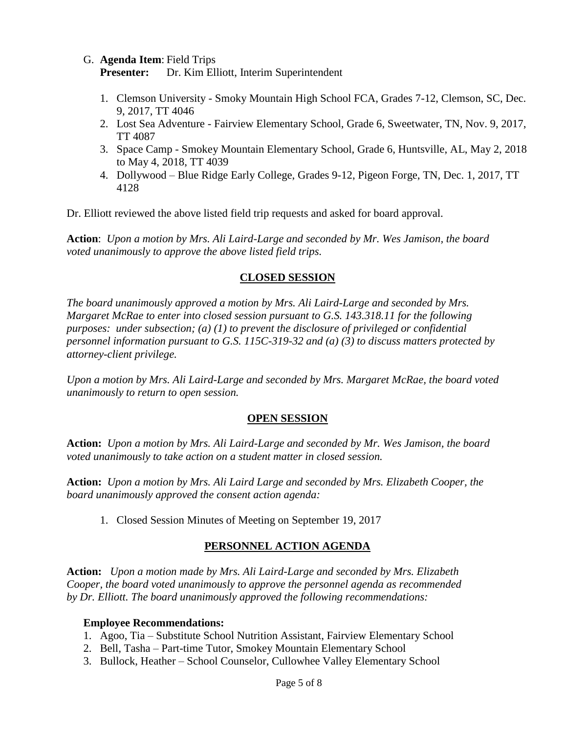G. **Agenda Item**: Field Trips

**Presenter:** Dr. Kim Elliott, Interim Superintendent

- 1. Clemson University Smoky Mountain High School FCA, Grades 7-12, Clemson, SC, Dec. 9, 2017, TT 4046
- 2. Lost Sea Adventure Fairview Elementary School, Grade 6, Sweetwater, TN, Nov. 9, 2017, TT 4087
- 3. Space Camp Smokey Mountain Elementary School, Grade 6, Huntsville, AL, May 2, 2018 to May 4, 2018, TT 4039
- 4. Dollywood Blue Ridge Early College, Grades 9-12, Pigeon Forge, TN, Dec. 1, 2017, TT 4128

Dr. Elliott reviewed the above listed field trip requests and asked for board approval.

**Action**: *Upon a motion by Mrs. Ali Laird-Large and seconded by Mr. Wes Jamison, the board voted unanimously to approve the above listed field trips.*

### **CLOSED SESSION**

*The board unanimously approved a motion by Mrs. Ali Laird-Large and seconded by Mrs. Margaret McRae to enter into closed session pursuant to G.S. 143.318.11 for the following purposes: under subsection; (a) (1) to prevent the disclosure of privileged or confidential personnel information pursuant to G.S. 115C-319-32 and (a) (3) to discuss matters protected by attorney-client privilege.* 

*Upon a motion by Mrs. Ali Laird-Large and seconded by Mrs. Margaret McRae, the board voted unanimously to return to open session.*

#### **OPEN SESSION**

**Action:** *Upon a motion by Mrs. Ali Laird-Large and seconded by Mr. Wes Jamison, the board voted unanimously to take action on a student matter in closed session.* 

**Action:** *Upon a motion by Mrs. Ali Laird Large and seconded by Mrs. Elizabeth Cooper, the board unanimously approved the consent action agenda:*

1. Closed Session Minutes of Meeting on September 19, 2017

# **PERSONNEL ACTION AGENDA**

**Action:** *Upon a motion made by Mrs. Ali Laird-Large and seconded by Mrs. Elizabeth Cooper, the board voted unanimously to approve the personnel agenda as recommended by Dr. Elliott. The board unanimously approved the following recommendations:*

#### **Employee Recommendations:**

- 1. Agoo, Tia Substitute School Nutrition Assistant, Fairview Elementary School
- 2. Bell, Tasha Part-time Tutor, Smokey Mountain Elementary School
- 3. Bullock, Heather School Counselor, Cullowhee Valley Elementary School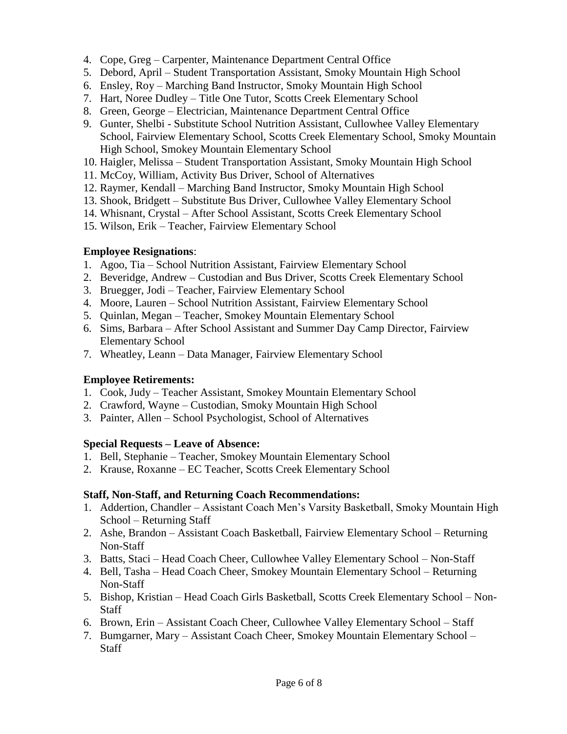- 4. Cope, Greg Carpenter, Maintenance Department Central Office
- 5. Debord, April Student Transportation Assistant, Smoky Mountain High School
- 6. Ensley, Roy Marching Band Instructor, Smoky Mountain High School
- 7. Hart, Noree Dudley Title One Tutor, Scotts Creek Elementary School
- 8. Green, George Electrician, Maintenance Department Central Office
- 9. Gunter, Shelbi Substitute School Nutrition Assistant, Cullowhee Valley Elementary School, Fairview Elementary School, Scotts Creek Elementary School, Smoky Mountain High School, Smokey Mountain Elementary School
- 10. Haigler, Melissa Student Transportation Assistant, Smoky Mountain High School
- 11. McCoy, William, Activity Bus Driver, School of Alternatives
- 12. Raymer, Kendall Marching Band Instructor, Smoky Mountain High School
- 13. Shook, Bridgett Substitute Bus Driver, Cullowhee Valley Elementary School
- 14. Whisnant, Crystal After School Assistant, Scotts Creek Elementary School
- 15. Wilson, Erik Teacher, Fairview Elementary School

### **Employee Resignations**:

- 1. Agoo, Tia School Nutrition Assistant, Fairview Elementary School
- 2. Beveridge, Andrew Custodian and Bus Driver, Scotts Creek Elementary School
- 3. Bruegger, Jodi Teacher, Fairview Elementary School
- 4. Moore, Lauren School Nutrition Assistant, Fairview Elementary School
- 5. Quinlan, Megan Teacher, Smokey Mountain Elementary School
- 6. Sims, Barbara After School Assistant and Summer Day Camp Director, Fairview Elementary School
- 7. Wheatley, Leann Data Manager, Fairview Elementary School

# **Employee Retirements:**

- 1. Cook, Judy Teacher Assistant, Smokey Mountain Elementary School
- 2. Crawford, Wayne Custodian, Smoky Mountain High School
- 3. Painter, Allen School Psychologist, School of Alternatives

# **Special Requests – Leave of Absence:**

- 1. Bell, Stephanie Teacher, Smokey Mountain Elementary School
- 2. Krause, Roxanne EC Teacher, Scotts Creek Elementary School

# **Staff, Non-Staff, and Returning Coach Recommendations:**

- 1. Addertion, Chandler Assistant Coach Men's Varsity Basketball, Smoky Mountain High School – Returning Staff
- 2. Ashe, Brandon Assistant Coach Basketball, Fairview Elementary School Returning Non-Staff
- 3. Batts, Staci Head Coach Cheer, Cullowhee Valley Elementary School Non-Staff
- 4. Bell, Tasha Head Coach Cheer, Smokey Mountain Elementary School Returning Non-Staff
- 5. Bishop, Kristian Head Coach Girls Basketball, Scotts Creek Elementary School Non-Staff
- 6. Brown, Erin Assistant Coach Cheer, Cullowhee Valley Elementary School Staff
- 7. Bumgarner, Mary Assistant Coach Cheer, Smokey Mountain Elementary School **Staff**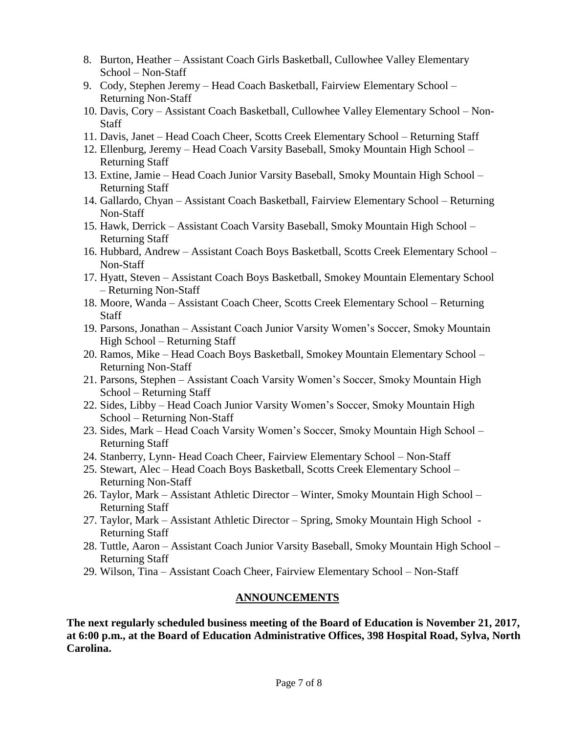- 8. Burton, Heather Assistant Coach Girls Basketball, Cullowhee Valley Elementary School – Non-Staff
- 9. Cody, Stephen Jeremy Head Coach Basketball, Fairview Elementary School Returning Non-Staff
- 10. Davis, Cory Assistant Coach Basketball, Cullowhee Valley Elementary School Non-**Staff**
- 11. Davis, Janet Head Coach Cheer, Scotts Creek Elementary School Returning Staff
- 12. Ellenburg, Jeremy Head Coach Varsity Baseball, Smoky Mountain High School Returning Staff
- 13. Extine, Jamie Head Coach Junior Varsity Baseball, Smoky Mountain High School Returning Staff
- 14. Gallardo, Chyan Assistant Coach Basketball, Fairview Elementary School Returning Non-Staff
- 15. Hawk, Derrick Assistant Coach Varsity Baseball, Smoky Mountain High School Returning Staff
- 16. Hubbard, Andrew Assistant Coach Boys Basketball, Scotts Creek Elementary School Non-Staff
- 17. Hyatt, Steven Assistant Coach Boys Basketball, Smokey Mountain Elementary School – Returning Non-Staff
- 18. Moore, Wanda Assistant Coach Cheer, Scotts Creek Elementary School Returning **Staff**
- 19. Parsons, Jonathan Assistant Coach Junior Varsity Women's Soccer, Smoky Mountain High School – Returning Staff
- 20. Ramos, Mike Head Coach Boys Basketball, Smokey Mountain Elementary School Returning Non-Staff
- 21. Parsons, Stephen Assistant Coach Varsity Women's Soccer, Smoky Mountain High School – Returning Staff
- 22. Sides, Libby Head Coach Junior Varsity Women's Soccer, Smoky Mountain High School – Returning Non-Staff
- 23. Sides, Mark Head Coach Varsity Women's Soccer, Smoky Mountain High School Returning Staff
- 24. Stanberry, Lynn- Head Coach Cheer, Fairview Elementary School Non-Staff
- 25. Stewart, Alec Head Coach Boys Basketball, Scotts Creek Elementary School Returning Non-Staff
- 26. Taylor, Mark Assistant Athletic Director Winter, Smoky Mountain High School Returning Staff
- 27. Taylor, Mark Assistant Athletic Director Spring, Smoky Mountain High School Returning Staff
- 28. Tuttle, Aaron Assistant Coach Junior Varsity Baseball, Smoky Mountain High School Returning Staff
- 29. Wilson, Tina Assistant Coach Cheer, Fairview Elementary School Non-Staff

# **ANNOUNCEMENTS**

**The next regularly scheduled business meeting of the Board of Education is November 21, 2017, at 6:00 p.m., at the Board of Education Administrative Offices, 398 Hospital Road, Sylva, North Carolina.**